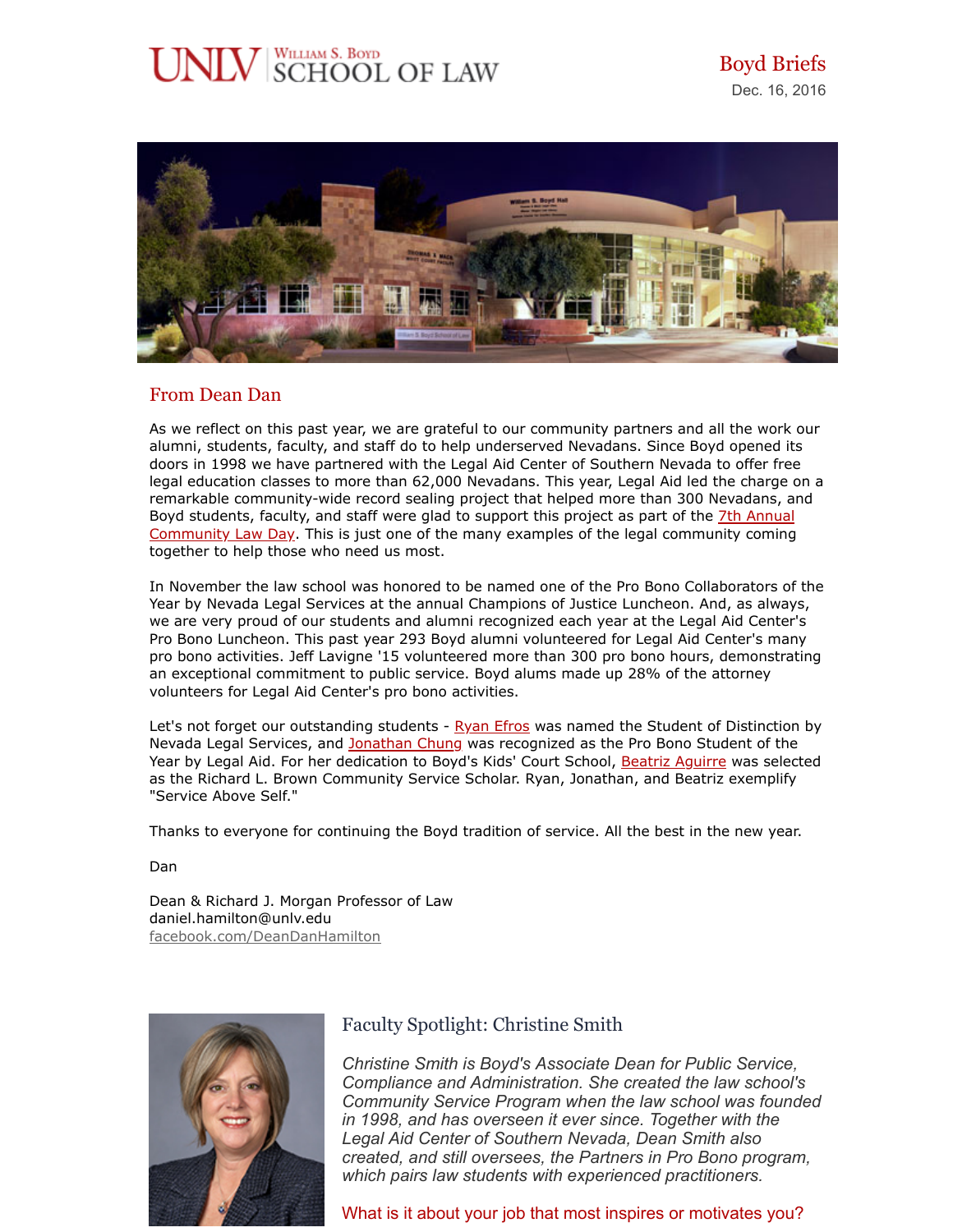# JNLV SCHOOL OF LAW



## From Dean Dan

As we reflect on this past year, we are grateful to our community partners and all the work our alumni, students, faculty, and staff do to help underserved Nevadans. Since Boyd opened its doors in 1998 we have partnered with the Legal Aid Center of Southern Nevada to offer free legal education classes to more than 62,000 Nevadans. This year, Legal Aid led the charge on a remarkable community-wide record sealing project that helped more than 300 Nevadans, and Boyd students, faculty, and staff were glad to support this project as part of the 7th Annual [Community Law Day. This is just one of the many examples of the legal community coming](https://www.law.unlv.edu/newsletters/email-BoydBriefs-2016-09-01.html) together to help those who need us most.

In November the law school was honored to be named one of the Pro Bono Collaborators of the Year by Nevada Legal Services at the annual Champions of Justice Luncheon. And, as always, we are very proud of our students and alumni recognized each year at the Legal Aid Center's Pro Bono Luncheon. This past year 293 Boyd alumni volunteered for Legal Aid Center's many pro bono activities. Jeff Lavigne '15 volunteered more than 300 pro bono hours, demonstrating an exceptional commitment to public service. Boyd alums made up 28% of the attorney volunteers for Legal Aid Center's pro bono activities.

Let's not forget our outstanding students - [Ryan Efros](https://bsl.box.com/s/w7buafpddoowfmbt81ev775o9c0i42r8) was named the Student of Distinction by Nevada Legal Services, and [Jonathan Chung](https://bsl.box.com/s/dwbez1afu1zzgicrtditg004kdicf5q5) was recognized as the Pro Bono Student of the Year by Legal Aid. For her dedication to Boyd's Kids' Court School, [Beatriz Aguirre](https://bsl.box.com/s/qw9hwfkpw1jkibd2lwkf3dmr74w3ks82) was selected as the Richard L. Brown Community Service Scholar. Ryan, Jonathan, and Beatriz exemplify "Service Above Self."

Thanks to everyone for continuing the Boyd tradition of service. All the best in the new year.

Dan

Dean & Richard J. Morgan Professor of Law daniel.hamilton@unlv.edu [facebook.com/DeanDanHamilton](https://www.facebook.com/DeanDanHamilton)



# Faculty Spotlight: Christine Smith

*Christine Smith is Boyd's Associate Dean for Public Service, Compliance and Administration. She created the law school's Community Service Program when the law school was founded in 1998, and has overseen it ever since. Together with the Legal Aid Center of Southern Nevada, Dean Smith also created, and still oversees, the Partners in Pro Bono program, which pairs law students with experienced practitioners.*

What is it about your job that most inspires or motivates you?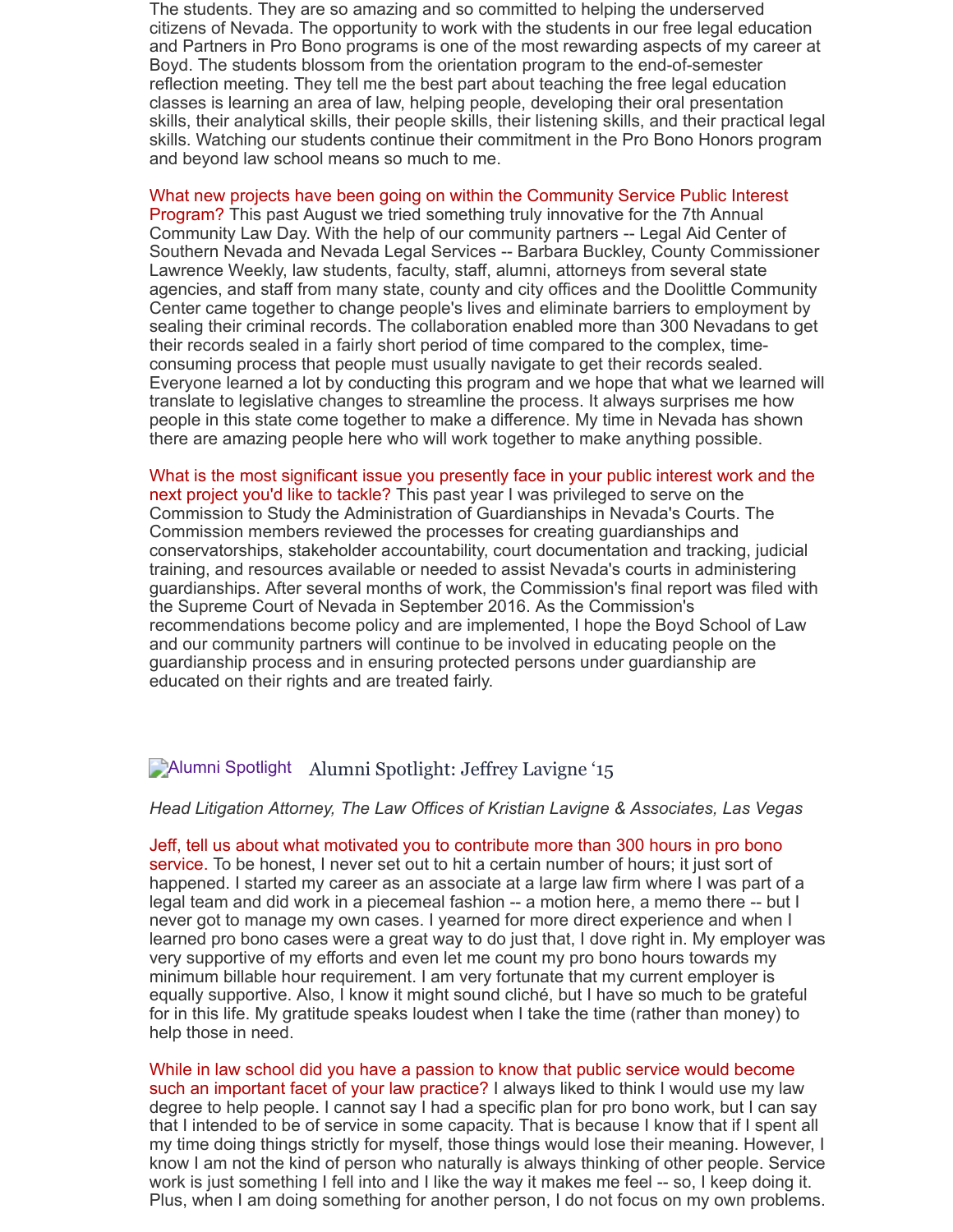The students. They are so amazing and so committed to helping the underserved citizens of Nevada. The opportunity to work with the students in our free legal education and Partners in Pro Bono programs is one of the most rewarding aspects of my career at Boyd. The students blossom from the orientation program to the end-of-semester reflection meeting. They tell me the best part about teaching the free legal education classes is learning an area of law, helping people, developing their oral presentation skills, their analytical skills, their people skills, their listening skills, and their practical legal skills. Watching our students continue their commitment in the Pro Bono Honors program and beyond law school means so much to me.

What new projects have been going on within the Community Service Public Interest Program? This past August we tried something truly innovative for the 7th Annual Community Law Day. With the help of our community partners -- Legal Aid Center of Southern Nevada and Nevada Legal Services -- Barbara Buckley, County Commissioner Lawrence Weekly, law students, faculty, staff, alumni, attorneys from several state agencies, and staff from many state, county and city offices and the Doolittle Community Center came together to change people's lives and eliminate barriers to employment by sealing their criminal records. The collaboration enabled more than 300 Nevadans to get their records sealed in a fairly short period of time compared to the complex, timeconsuming process that people must usually navigate to get their records sealed. Everyone learned a lot by conducting this program and we hope that what we learned will translate to legislative changes to streamline the process. It always surprises me how people in this state come together to make a difference. My time in Nevada has shown there are amazing people here who will work together to make anything possible.

What is the most significant issue you presently face in your public interest work and the next project you'd like to tackle? This past year I was privileged to serve on the Commission to Study the Administration of Guardianships in Nevada's Courts. The Commission members reviewed the processes for creating guardianships and conservatorships, stakeholder accountability, court documentation and tracking, judicial training, and resources available or needed to assist Nevada's courts in administering guardianships. After several months of work, the Commission's final report was filed with the Supreme Court of Nevada in September 2016. As the Commission's recommendations become policy and are implemented, I hope the Boyd School of Law and our community partners will continue to be involved in educating people on the guardianship process and in ensuring protected persons under guardianship are educated on their rights and are treated fairly.

## Alumni Spotlight Alumni Spotlight: Jeffrey Lavigne '15

#### *Head Litigation Attorney, The Law Offices of Kristian Lavigne & Associates, Las Vegas*

Jeff, tell us about what motivated you to contribute more than 300 hours in pro bono service. To be honest, I never set out to hit a certain number of hours; it just sort of happened. I started my career as an associate at a large law firm where I was part of a legal team and did work in a piecemeal fashion -- a motion here, a memo there -- but I never got to manage my own cases. I yearned for more direct experience and when I learned pro bono cases were a great way to do just that, I dove right in. My employer was very supportive of my efforts and even let me count my pro bono hours towards my minimum billable hour requirement. I am very fortunate that my current employer is equally supportive. Also, I know it might sound cliché, but I have so much to be grateful for in this life. My gratitude speaks loudest when I take the time (rather than money) to help those in need.

While in law school did you have a passion to know that public service would become such an important facet of your law practice? I always liked to think I would use my law degree to help people. I cannot say I had a specific plan for pro bono work, but I can say that I intended to be of service in some capacity. That is because I know that if I spent all my time doing things strictly for myself, those things would lose their meaning. However, I know I am not the kind of person who naturally is always thinking of other people. Service work is just something I fell into and I like the way it makes me feel -- so, I keep doing it. Plus, when I am doing something for another person, I do not focus on my own problems.